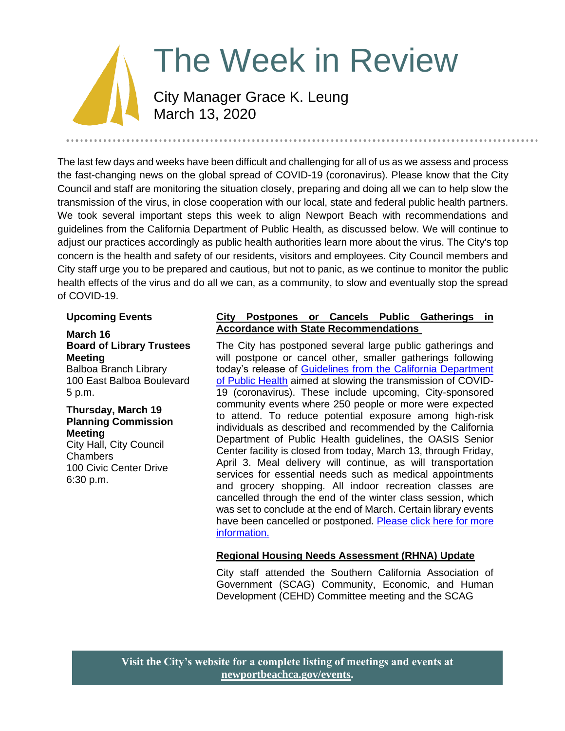# The Week in Review City Manager Grace K. Leung March 13, 2020

The last few days and weeks have been difficult and challenging for all of us as we assess and process the fast-changing news on the global spread of COVID-19 (coronavirus). Please know that the City Council and staff are monitoring the situation closely, preparing and doing all we can to help slow the transmission of the virus, in close cooperation with our local, state and federal public health partners. We took several important steps this week to align Newport Beach with recommendations and guidelines from the California Department of Public Health, as discussed below. We will continue to adjust our practices accordingly as public health authorities learn more about the virus. The City's top concern is the health and safety of our residents, visitors and employees. City Council members and City staff urge you to be prepared and cautious, but not to panic, as we continue to monitor the public health effects of the virus and do all we can, as a community, to slow and eventually stop the spread of COVID-19.

### **Upcoming Events**

### **March 16 Board of Library Trustees Meeting**

Balboa Branch Library 100 East Balboa Boulevard 5 p.m.

#### **Thursday, March 19 Planning Commission Meeting**

City Hall, City Council Chambers 100 Civic Center Drive 6:30 p.m.

### **City Postpones or Cancels Public Gatherings in Accordance with State Recommendations**

The City has postponed several large public gatherings and will postpone or cancel other, smaller gatherings following today's release of [Guidelines from the California Department](https://www.cdph.ca.gov/Programs/CID/DCDC/CDPH%20Document%20Library/Gathering_Guidance_03.11.20.pdf)  [of Public Health](https://www.cdph.ca.gov/Programs/CID/DCDC/CDPH%20Document%20Library/Gathering_Guidance_03.11.20.pdf) aimed at slowing the transmission of COVID-19 (coronavirus). These include upcoming, City-sponsored community events where 250 people or more were expected to attend. To reduce potential exposure among high-risk individuals as described and recommended by the California Department of Public Health guidelines, the OASIS Senior Center facility is closed from today, March 13, through Friday, April 3. Meal delivery will continue, as will transportation services for essential needs such as medical appointments and grocery shopping. All indoor recreation classes are cancelled through the end of the winter class session, which was set to conclude at the end of March. Certain library events have been cancelled or postponed. Please click here for more [information.](https://www.newportbeachca.gov/Home/Components/News/News/37962/2720)

### **Regional Housing Needs Assessment (RHNA) Update**

City staff attended the Southern California Association of Government (SCAG) Community, Economic, and Human Development (CEHD) Committee meeting and the SCAG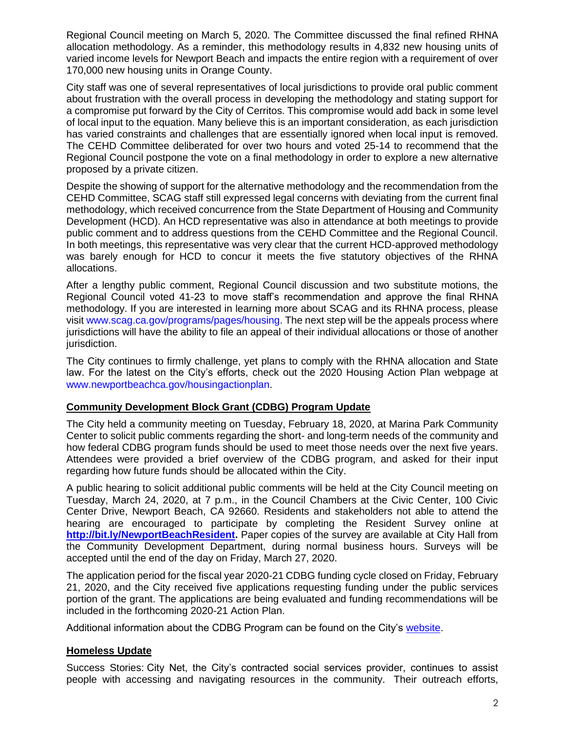Regional Council meeting on March 5, 2020. The Committee discussed the final refined RHNA allocation methodology. As a reminder, this methodology results in 4,832 new housing units of varied income levels for Newport Beach and impacts the entire region with a requirement of over 170,000 new housing units in Orange County.

City staff was one of several representatives of local jurisdictions to provide oral public comment about frustration with the overall process in developing the methodology and stating support for a compromise put forward by the City of Cerritos. This compromise would add back in some level of local input to the equation. Many believe this is an important consideration, as each jurisdiction has varied constraints and challenges that are essentially ignored when local input is removed. The CEHD Committee deliberated for over two hours and voted 25-14 to recommend that the Regional Council postpone the vote on a final methodology in order to explore a new alternative proposed by a private citizen.

Despite the showing of support for the alternative methodology and the recommendation from the CEHD Committee, SCAG staff still expressed legal concerns with deviating from the current final methodology, which received concurrence from the State Department of Housing and Community Development (HCD). An HCD representative was also in attendance at both meetings to provide public comment and to address questions from the CEHD Committee and the Regional Council. In both meetings, this representative was very clear that the current HCD-approved methodology was barely enough for HCD to concur it meets the five statutory objectives of the RHNA allocations.

After a lengthy public comment, Regional Council discussion and two substitute motions, the Regional Council voted 41-23 to move staff's recommendation and approve the final RHNA methodology. If you are interested in learning more about SCAG and its RHNA process, please visit [www.scag.ca.gov/programs/pages/housing.](http://www.scag.ca.gov/programs/pages/housing) The next step will be the appeals process where jurisdictions will have the ability to file an appeal of their individual allocations or those of another jurisdiction.

The City continues to firmly challenge, yet plans to comply with the RHNA allocation and State law. For the latest on the City's efforts, check out the 2020 Housing Action Plan webpage at [www.newportbeachca.gov/housingactionplan.](http://www.newportbeachca.gov/housingactionplan)

## **Community Development Block Grant (CDBG) Program Update**

The City held a community meeting on Tuesday, February 18, 2020, at Marina Park Community Center to solicit public comments regarding the short- and long-term needs of the community and how federal CDBG program funds should be used to meet those needs over the next five years. Attendees were provided a brief overview of the CDBG program, and asked for their input regarding how future funds should be allocated within the City.

A public hearing to solicit additional public comments will be held at the City Council meeting on Tuesday, March 24, 2020, at 7 p.m., in the Council Chambers at the Civic Center, 100 Civic Center Drive, Newport Beach, CA 92660. Residents and stakeholders not able to attend the hearing are encouraged to participate by completing the Resident Survey online at **[http://bit.ly/NewportBeachResident.](http://bit.ly/NewportBeachResident)** Paper copies of the survey are available at City Hall from the Community Development Department, during normal business hours. Surveys will be accepted until the end of the day on Friday, March 27, 2020.

The application period for the fiscal year 2020-21 CDBG funding cycle closed on Friday, February 21, 2020, and the City received five applications requesting funding under the public services portion of the grant. The applications are being evaluated and funding recommendations will be included in the forthcoming 2020-21 Action Plan.

Additional information about the CDBG Program can be found on the City's [website.](https://www.newportbeachca.gov/government/departments/community-development/cdbg-community-development-block-grant)

## **Homeless Update**

Success Stories: City Net, the City's contracted social services provider, continues to assist people with accessing and navigating resources in the community. Their outreach efforts,